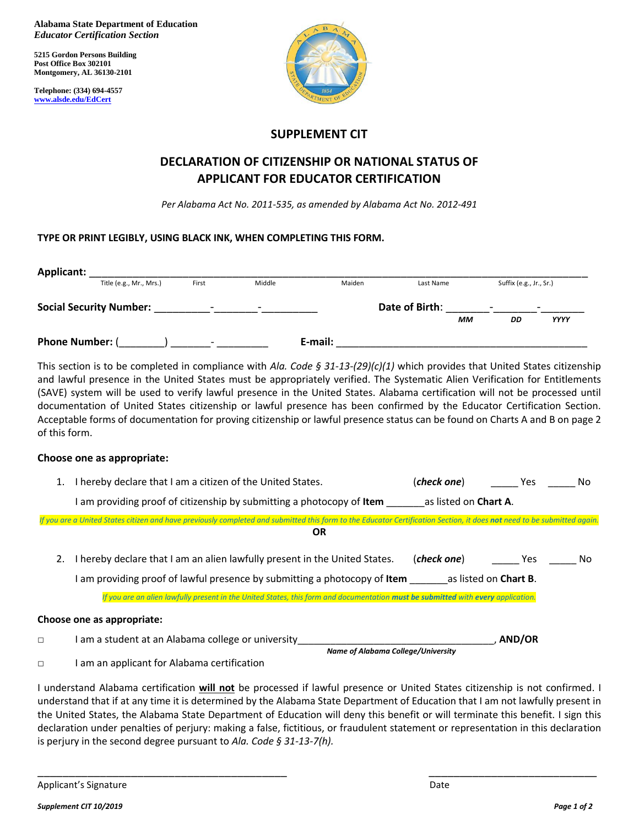**Alabama State Department of Education**  *Educator Certification Section*

**5215 Gordon Persons Building Post Office Box 302101 Montgomery, AL 36130-2101**

**Telephone: (334) 694-4557 [www.alsde.edu/EdCert](http://www.alsde.edu/EdCert)**



## **SUPPLEMENT CIT**

# **DECLARATION OF CITIZENSHIP OR NATIONAL STATUS OF APPLICANT FOR EDUCATOR CERTIFICATION**

*Per Alabama Act No. 2011-535, as amended by Alabama Act No. 2012-491*

### **TYPE OR PRINT LEGIBLY, USING BLACK INK, WHEN COMPLETING THIS FORM.**

| <b>Applicant:</b>              |                         |                          |                          |         |        |                |    |                          |                          |
|--------------------------------|-------------------------|--------------------------|--------------------------|---------|--------|----------------|----|--------------------------|--------------------------|
|                                | Title (e.g., Mr., Mrs.) | First                    | Middle                   |         | Maiden | Last Name      |    | Suffix (e.g., Jr., Sr.)  |                          |
| <b>Social Security Number:</b> |                         | $\overline{\phantom{0}}$ | $\overline{\phantom{0}}$ |         |        | Date of Birth: |    | $\overline{\phantom{0}}$ | $\overline{\phantom{0}}$ |
|                                |                         |                          |                          |         |        |                | ΜМ | DD                       | <b>YYYY</b>              |
| <b>Phone Number: (</b>         |                         | $\overline{\phantom{0}}$ |                          | E-mail: |        |                |    |                          |                          |

This section is to be completed in compliance with *Ala. Code § 31-13-(29)(c)(1)* which provides that United States citizenship and lawful presence in the United States must be appropriately verified. The Systematic Alien Verification for Entitlements (SAVE) system will be used to verify lawful presence in the United States. Alabama certification will not be processed until documentation of United States citizenship or lawful presence has been confirmed by the Educator Certification Section. Acceptable forms of documentation for proving citizenship or lawful presence status can be found on Charts A and B on page 2 of this form.

### **Choose one as appropriate:**

|        | I hereby declare that I am a citizen of the United States.                                                                                                              | (check one)                  | Yes.          | No |
|--------|-------------------------------------------------------------------------------------------------------------------------------------------------------------------------|------------------------------|---------------|----|
|        | am providing proof of citizenship by submitting a photocopy of <b>Item</b>                                                                                              | as listed on Chart A.        |               |    |
|        | If you are a United States citizen and have previously completed and submitted this form to the Educator Certification Section, it does not need to be submitted again. |                              |               |    |
|        | <b>OR</b>                                                                                                                                                               |                              |               |    |
|        | I hereby declare that I am an alien lawfully present in the United States.                                                                                              | (check one)                  | Yes           | No |
|        | I am providing proof of lawful presence by submitting a photocopy of <b>Item</b>                                                                                        | as listed on <b>Chart B.</b> |               |    |
|        | If you are an alien lawfully present in the United States, this form and documentation must be submitted with every application.                                        |                              |               |    |
|        | <b>Choose one as appropriate:</b>                                                                                                                                       |                              |               |    |
| $\Box$ | I am a student at an Alabama college or university                                                                                                                      |                              | <b>AND/OR</b> |    |
|        | Name of Alabama College/University                                                                                                                                      |                              |               |    |

□ I am an applicant for Alabama certification

I understand Alabama certification **will not** be processed if lawful presence or United States citizenship is not confirmed. I understand that if at any time it is determined by the Alabama State Department of Education that I am not lawfully present in the United States, the Alabama State Department of Education will deny this benefit or will terminate this benefit. I sign this declaration under penalties of perjury: making a false, fictitious, or fraudulent statement or representation in this declaration is perjury in the second degree pursuant to *Ala. Code § 31-13-7(h).*

\_\_\_\_\_\_\_\_\_\_\_\_\_\_\_\_\_\_\_\_\_\_\_\_\_\_\_\_\_\_\_\_\_\_\_\_\_\_\_\_ \_\_\_\_\_\_\_\_\_\_\_\_\_\_\_\_\_\_\_\_\_\_\_\_\_\_\_

Applicant's Signature **Date of Applicant** Control of Applicant's Signature Date of Applicant Control of Applicant Control of Applicant Control of Applicant Control of Applicant Control of Applicant Control of Applicant Con